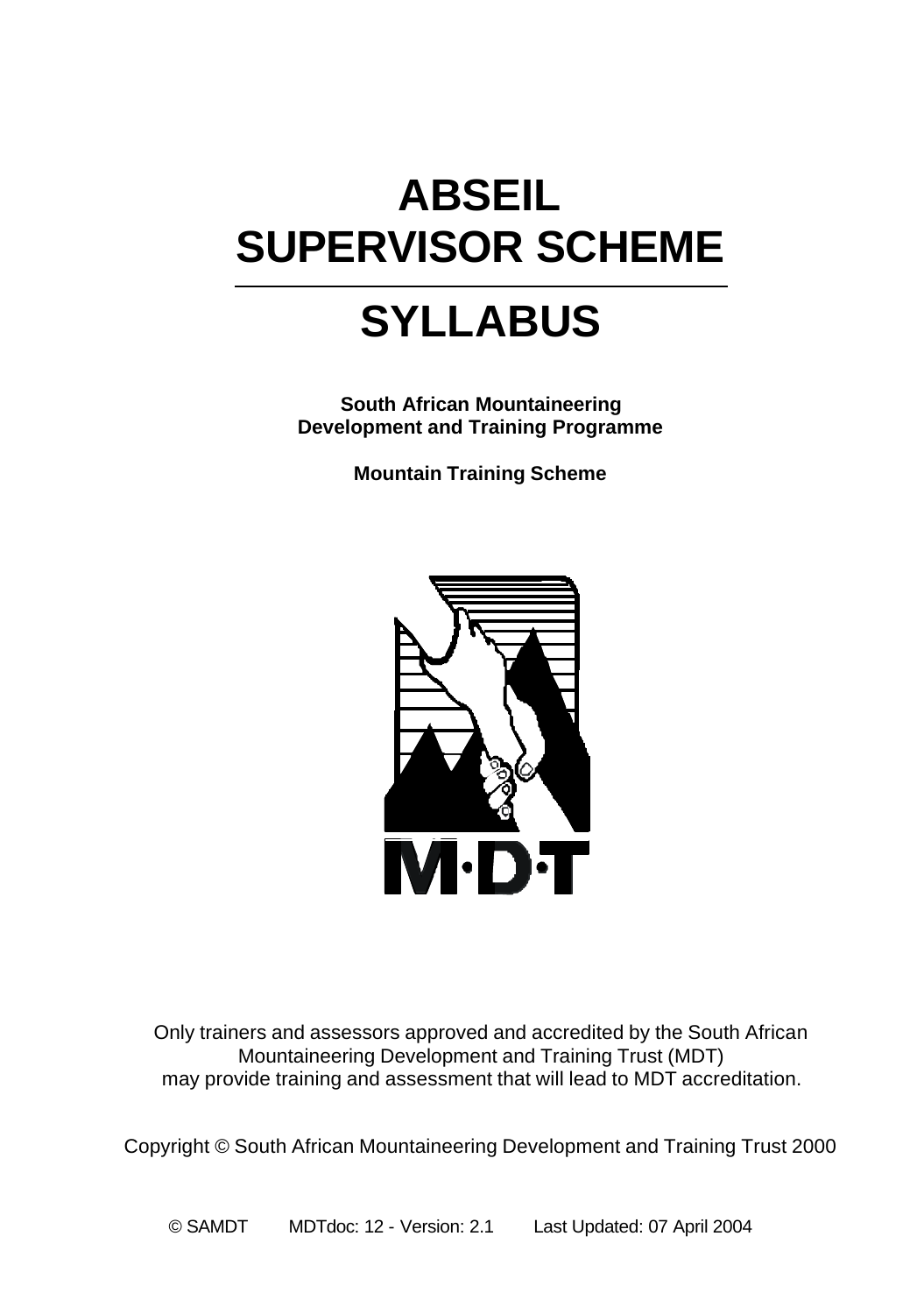# **ABSEIL SUPERVISOR SCHEME**

# **SYLLABUS**

**South African Mountaineering Development and Training Programme**

**Mountain Training Scheme**



Only trainers and assessors approved and accredited by the South African Mountaineering Development and Training Trust (MDT) may provide training and assessment that will lead to MDT accreditation.

Copyright © South African Mountaineering Development and Training Trust 2000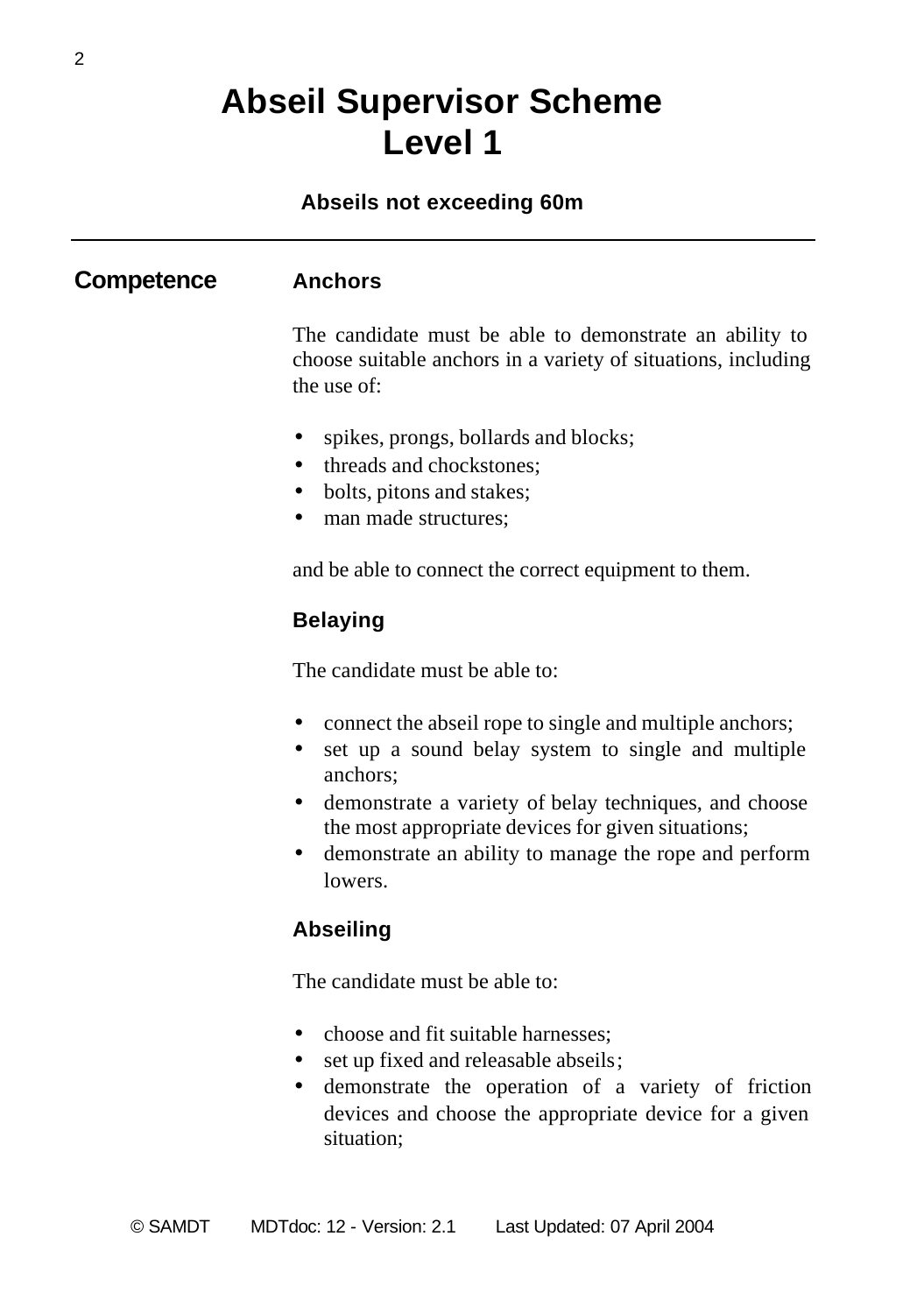### **Abseil Supervisor Scheme Level 1**

#### **Abseils not exceeding 60m**

#### **Competence Anchors**

The candidate must be able to demonstrate an ability to choose suitable anchors in a variety of situations, including the use of:

- spikes, prongs, bollards and blocks;
- threads and chockstones:
- bolts, pitons and stakes;
- man made structures:

and be able to connect the correct equipment to them.

#### **Belaying**

The candidate must be able to:

- connect the abseil rope to single and multiple anchors;
- set up a sound belay system to single and multiple anchors;
- demonstrate a variety of belay techniques, and choose the most appropriate devices for given situations;
- demonstrate an ability to manage the rope and perform lowers.

#### **Abseiling**

The candidate must be able to:

- choose and fit suitable harnesses:
- set up fixed and releasable abseils;
- demonstrate the operation of a variety of friction devices and choose the appropriate device for a given situation;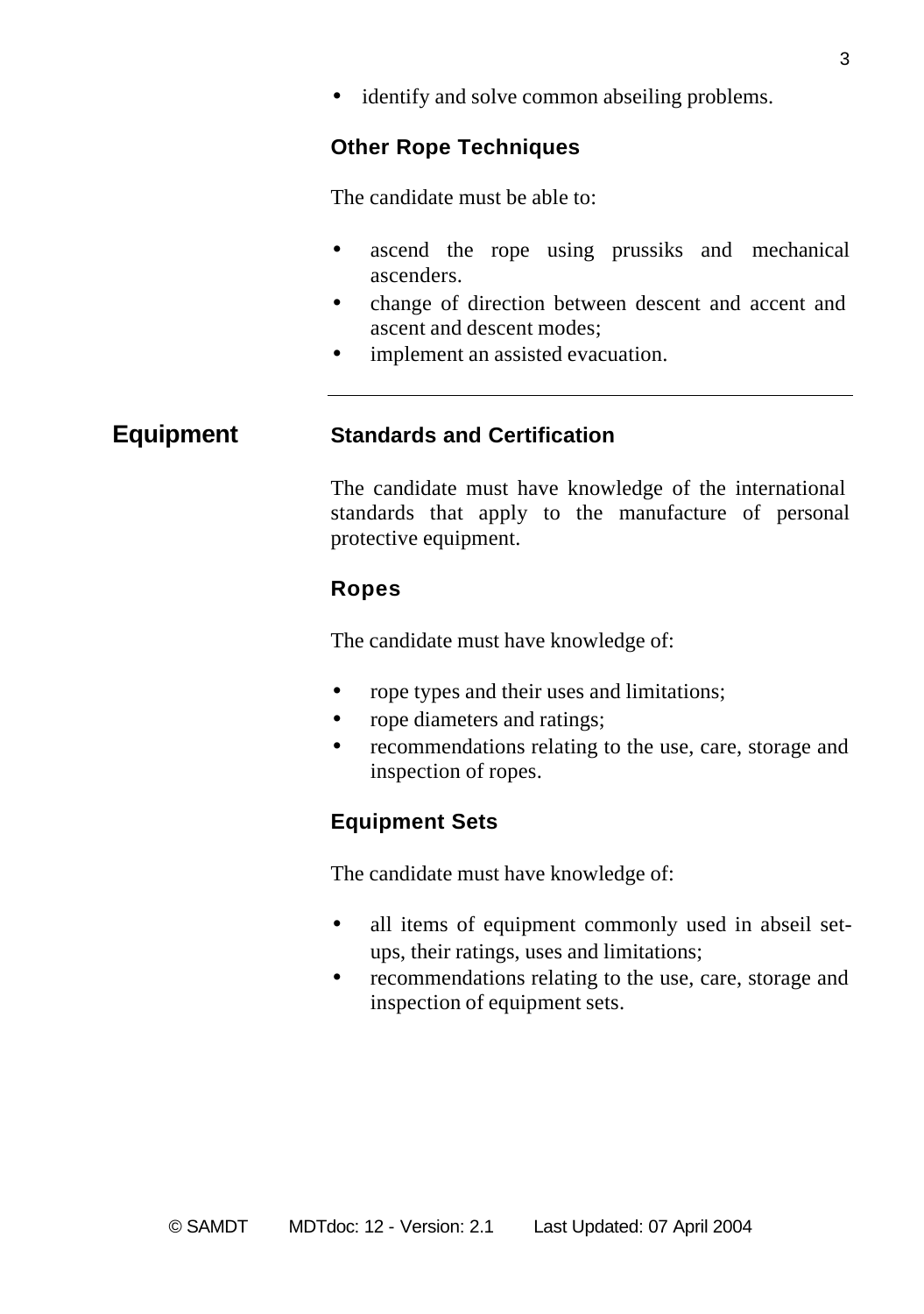• identify and solve common abseiling problems.

#### **Other Rope Techniques**

The candidate must be able to:

- ascend the rope using prussiks and mechanical ascenders.
- change of direction between descent and accent and ascent and descent modes;
- implement an assisted evacuation.

#### **Equipment Standards and Certification**

The candidate must have knowledge of the international standards that apply to the manufacture of personal protective equipment.

#### **Ropes**

The candidate must have knowledge of:

- rope types and their uses and limitations;
- rope diameters and ratings;
- recommendations relating to the use, care, storage and inspection of ropes.

### **Equipment Sets**

The candidate must have knowledge of:

- all items of equipment commonly used in abseil setups, their ratings, uses and limitations;
- recommendations relating to the use, care, storage and inspection of equipment sets.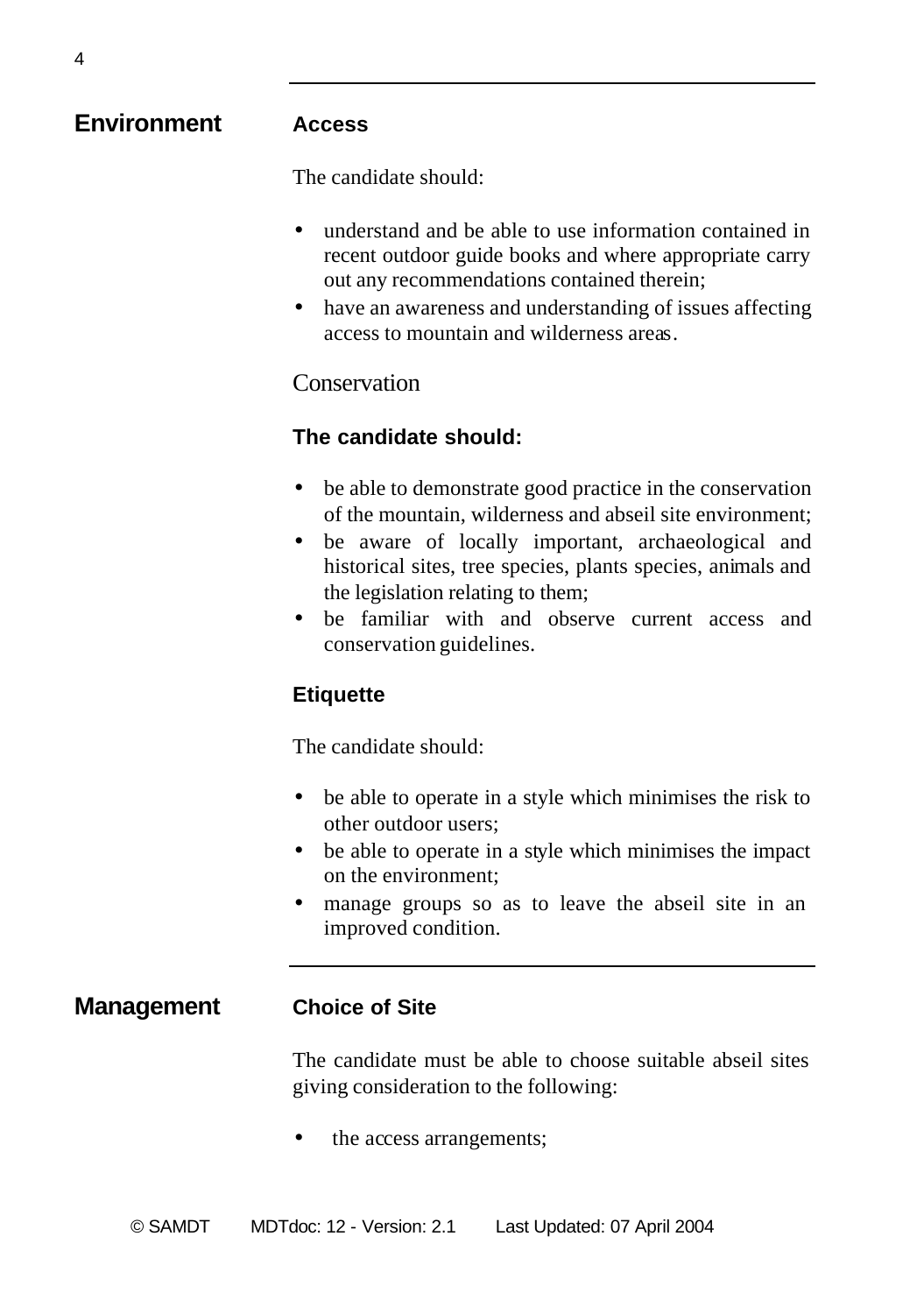| <b>Environment</b> | <b>Access</b>                                                                                                                                                                                                                                                                                                                                                                                       |
|--------------------|-----------------------------------------------------------------------------------------------------------------------------------------------------------------------------------------------------------------------------------------------------------------------------------------------------------------------------------------------------------------------------------------------------|
|                    | The candidate should:                                                                                                                                                                                                                                                                                                                                                                               |
|                    | understand and be able to use information contained in<br>$\bullet$<br>recent outdoor guide books and where appropriate carry<br>out any recommendations contained therein;<br>have an awareness and understanding of issues affecting<br>access to mountain and wilderness areas.                                                                                                                  |
|                    | Conservation                                                                                                                                                                                                                                                                                                                                                                                        |
|                    | The candidate should:                                                                                                                                                                                                                                                                                                                                                                               |
|                    | be able to demonstrate good practice in the conservation<br>$\bullet$<br>of the mountain, wilderness and abseil site environment;<br>be aware of locally important, archaeological and<br>$\bullet$<br>historical sites, tree species, plants species, animals and<br>the legislation relating to them;<br>be familiar with and observe current access and<br>$\bullet$<br>conservation guidelines. |
|                    | <b>Etiquette</b>                                                                                                                                                                                                                                                                                                                                                                                    |
|                    | The candidate should:                                                                                                                                                                                                                                                                                                                                                                               |
|                    | be able to operate in a style which minimises the risk to<br>$\bullet$<br>other outdoor users;<br>be able to operate in a style which minimises the impact<br>on the environment;<br>manage groups so as to leave the abseil site in an<br>٠<br>improved condition.                                                                                                                                 |
| <b>Management</b>  | <b>Choice of Site</b>                                                                                                                                                                                                                                                                                                                                                                               |
|                    | The candidate must be able to choose suitable abseil sites<br>giving consideration to the following:                                                                                                                                                                                                                                                                                                |

• the access arrangements;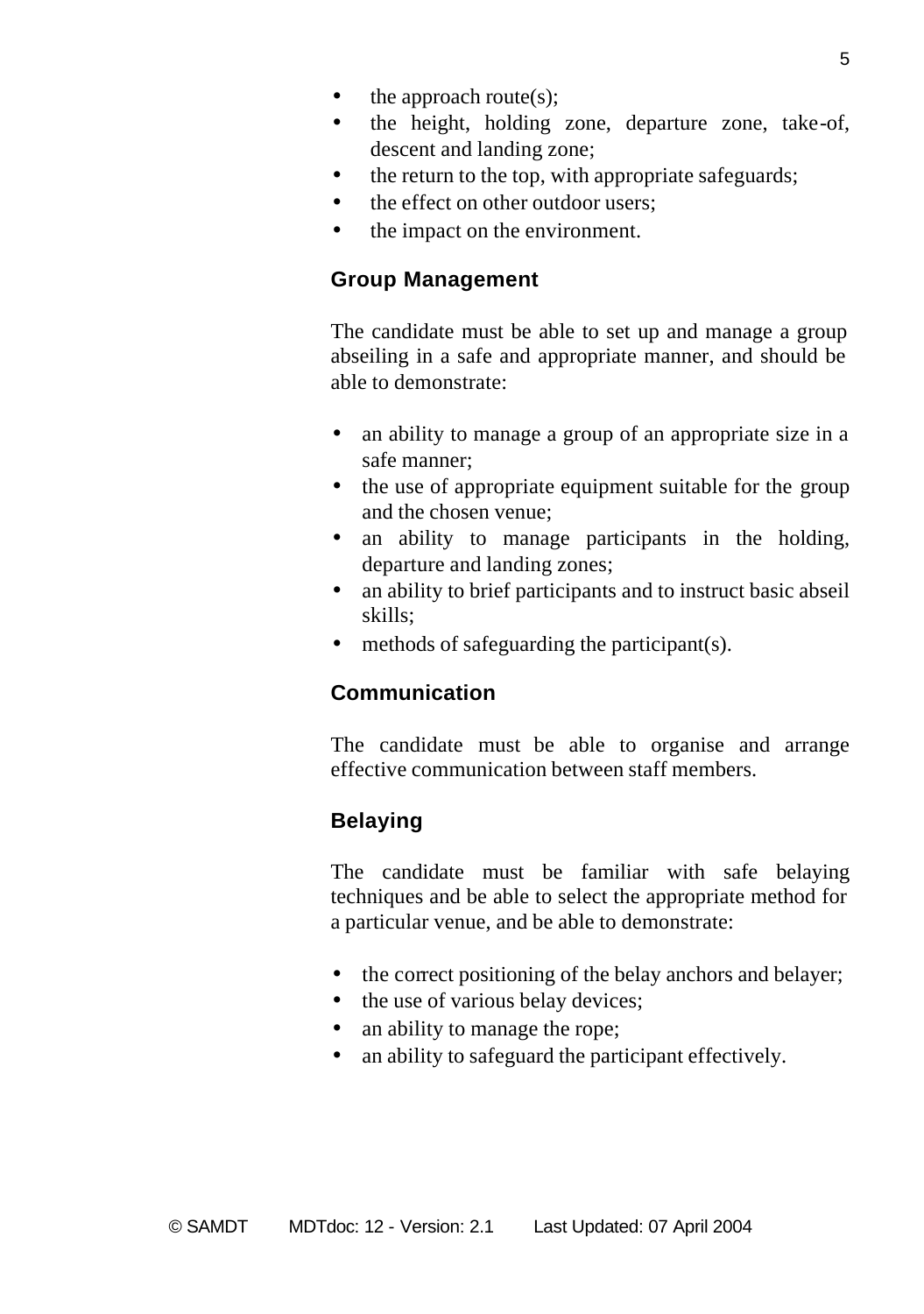- $\bullet$  the approach route(s);
- the height, holding zone, departure zone, take-of, descent and landing zone;
- the return to the top, with appropriate safeguards;
- the effect on other outdoor users:
- the impact on the environment.

#### **Group Management**

The candidate must be able to set up and manage a group abseiling in a safe and appropriate manner, and should be able to demonstrate:

- an ability to manage a group of an appropriate size in a safe manner;
- the use of appropriate equipment suitable for the group and the chosen venue;
- an ability to manage participants in the holding, departure and landing zones;
- an ability to brief participants and to instruct basic abseil skills;
- methods of safeguarding the participant(s).

### **Communication**

The candidate must be able to organise and arrange effective communication between staff members.

### **Belaying**

The candidate must be familiar with safe belaying techniques and be able to select the appropriate method for a particular venue, and be able to demonstrate:

- the correct positioning of the belay anchors and belayer;
- the use of various belay devices;
- an ability to manage the rope;
- an ability to safeguard the participant effectively.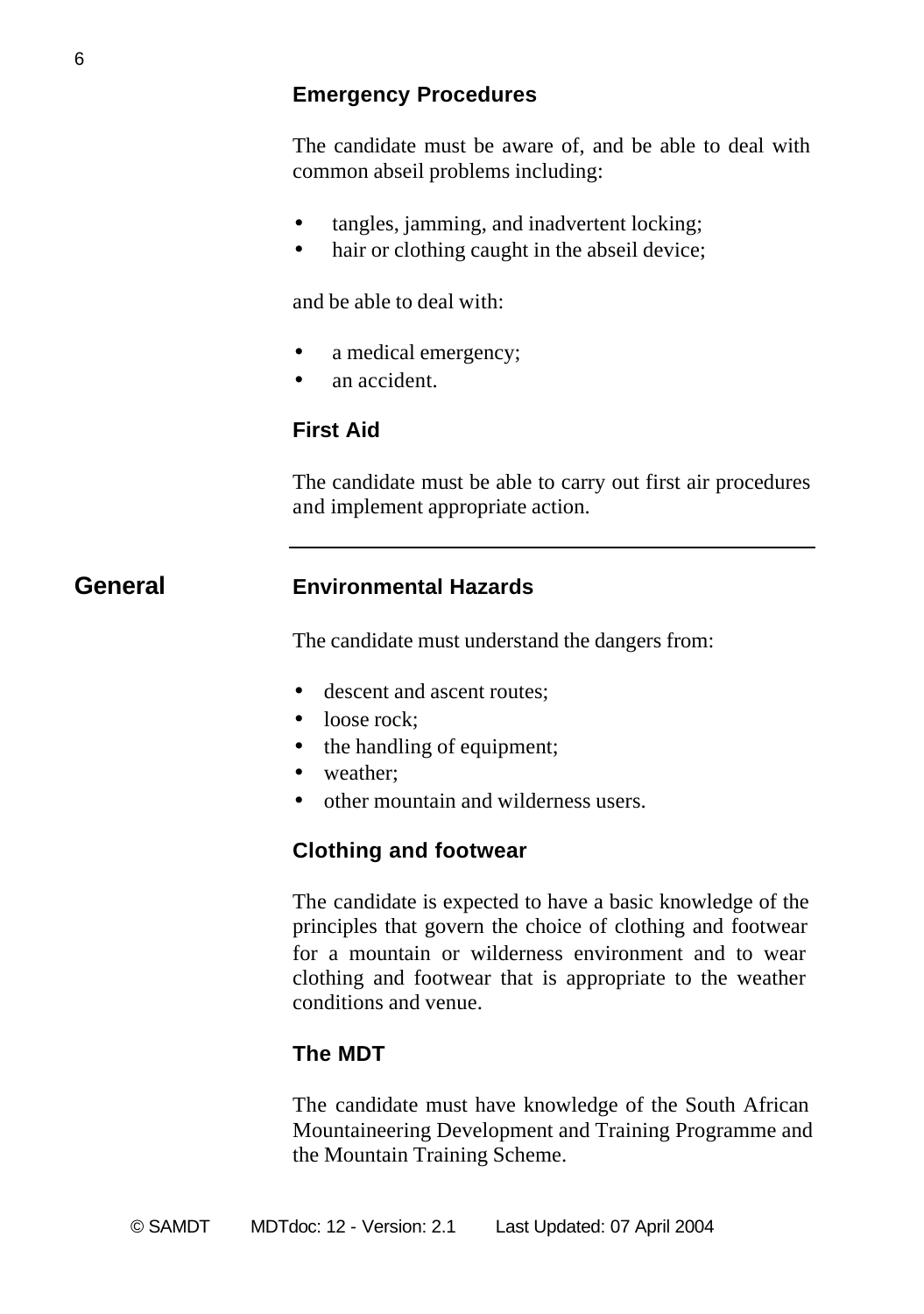#### **Emergency Procedures**

The candidate must be aware of, and be able to deal with common abseil problems including:

- tangles, jamming, and inadvertent locking;
- hair or clothing caught in the abseil device;

and be able to deal with:

- a medical emergency;
- an accident.

#### **First Aid**

The candidate must be able to carry out first air procedures and implement appropriate action.

#### **General Environmental Hazards**

The candidate must understand the dangers from:

- descent and ascent routes:
- loose rock;
- the handling of equipment;
- weather:
- other mountain and wilderness users.

#### **Clothing and footwear**

The candidate is expected to have a basic knowledge of the principles that govern the choice of clothing and footwear for a mountain or wilderness environment and to wear clothing and footwear that is appropriate to the weather conditions and venue.

#### **The MDT**

The candidate must have knowledge of the South African Mountaineering Development and Training Programme and the Mountain Training Scheme.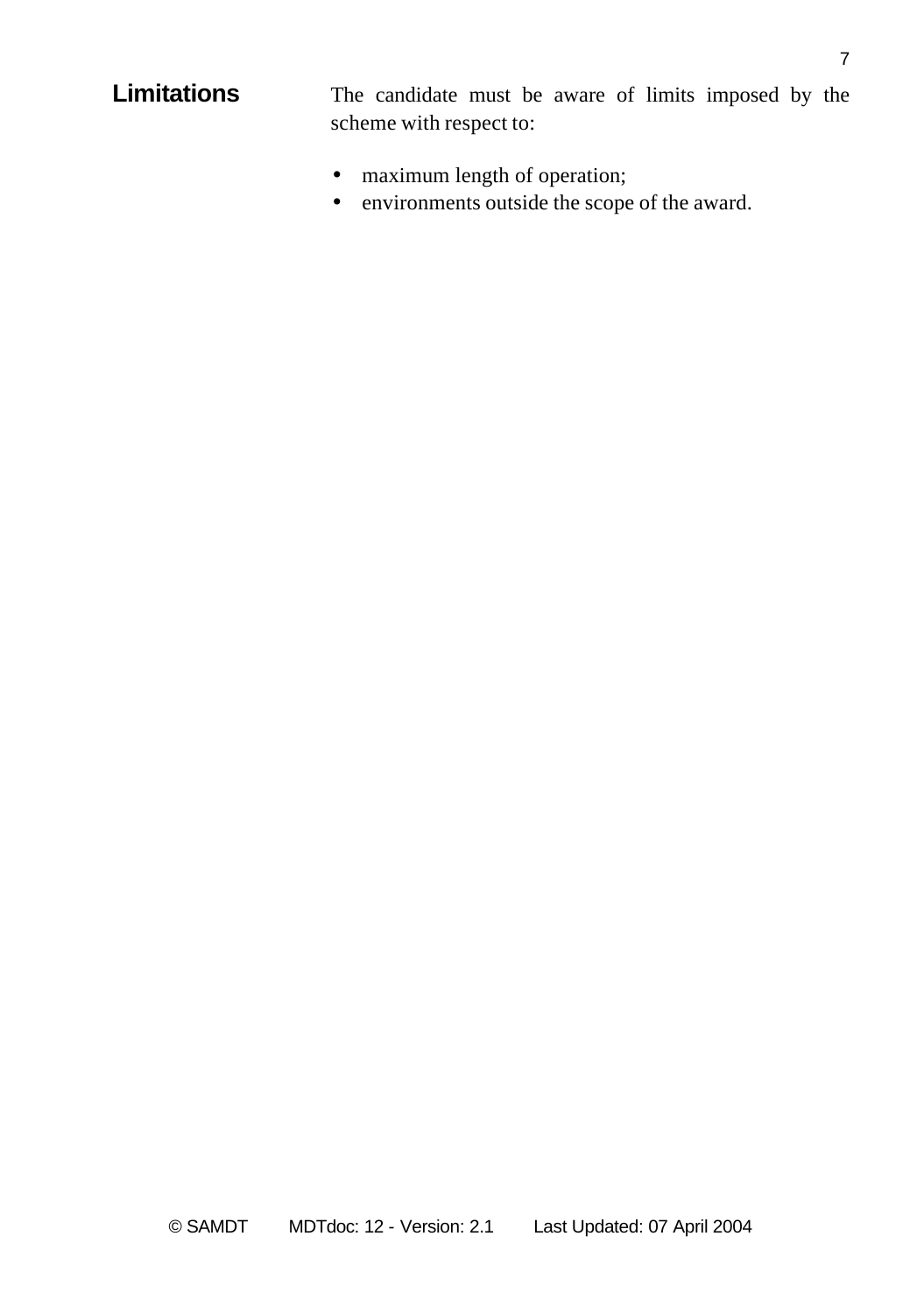**Limitations** The candidate must be aware of limits imposed by the scheme with respect to:

- maximum length of operation;
- environments outside the scope of the award.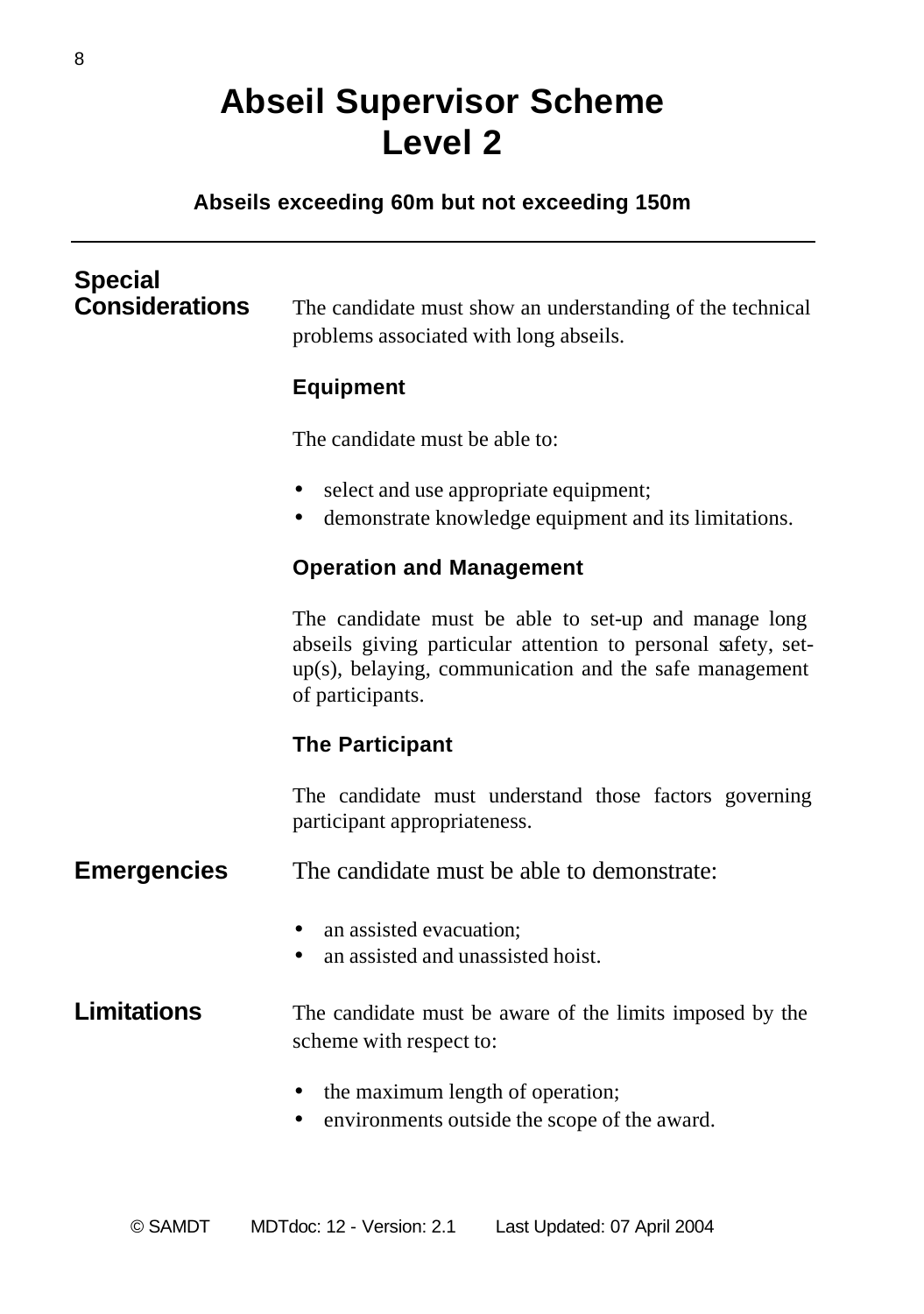## **Abseil Supervisor Scheme Level 2**

#### **Abseils exceeding 60m but not exceeding 150m**

## **Special** The candidate must show an understanding of the technical problems associated with long abseils. **Equipment** The candidate must be able to: • select and use appropriate equipment; • demonstrate knowledge equipment and its limitations. **Operation and Management** The candidate must be able to set-up and manage long abseils giving particular attention to personal safety, setup(s), belaying, communication and the safe management of participants. **The Participant** The candidate must understand those factors governing participant appropriateness. **Emergencies** The candidate must be able to demonstrate: • an assisted evacuation: an assisted and unassisted hoist. **Limitations** The candidate must be aware of the limits imposed by the scheme with respect to: • the maximum length of operation; • environments outside the scope of the award.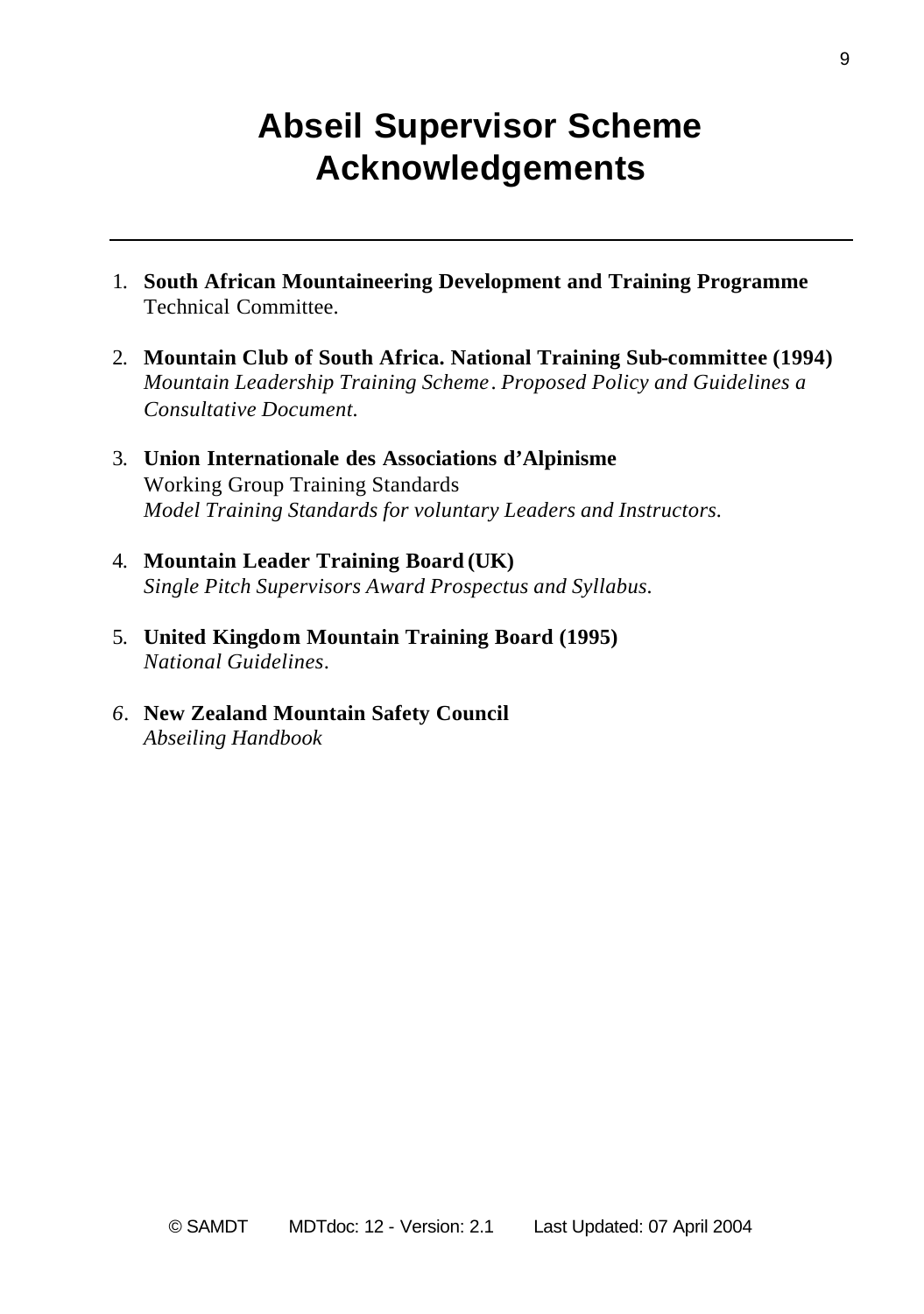### **Abseil Supervisor Scheme Acknowledgements**

- 1. **South African Mountaineering Development and Training Programme** Technical Committee.
- 2. **Mountain Club of South Africa. National Training Sub-committee (1994)** *Mountain Leadership Training Scheme*. *Proposed Policy and Guidelines a Consultative Document.*
- 3. **Union Internationale des Associations d'Alpinisme** Working Group Training Standards *Model Training Standards for voluntary Leaders and Instructors.*
- 4. **Mountain Leader Training Board (UK)** *Single Pitch Supervisors Award Prospectus and Syllabus.*
- 5. **United Kingdom Mountain Training Board (1995)** *National Guidelines*.
- *6.* **New Zealand Mountain Safety Council** *Abseiling Handbook*